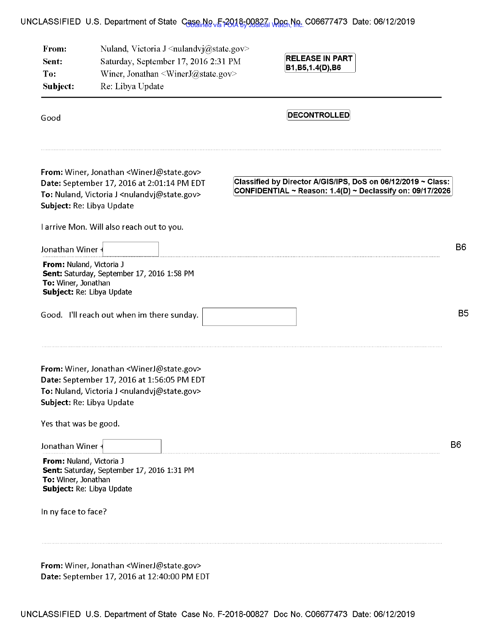## UNCLASSIFIED U.S. Department of State Case No. E-2018-00827, Doc No. C06677473 Date: 06/12/2019

| From:<br>Sent:<br>To:<br>Subject:               | Nuland, Victoria J <nulandvj@state.gov><br/>Saturday, September 17, 2016 2:31 PM<br/>Winer, Jonathan <winerj@state.gov><br/>Re: Libya Update</winerj@state.gov></nulandvj@state.gov>                          | <b>RELEASE IN PART</b><br>B1,B5,1.4(D),B6                                                                                 |                |
|-------------------------------------------------|---------------------------------------------------------------------------------------------------------------------------------------------------------------------------------------------------------------|---------------------------------------------------------------------------------------------------------------------------|----------------|
| Good                                            |                                                                                                                                                                                                               | <b>DECONTROLLED</b>                                                                                                       |                |
|                                                 | From: Winer, Jonathan <winerj@state.gov><br/>Date: September 17, 2016 at 2:01:14 PM EDT<br/>To: Nuland, Victoria J <nulandvj@state.gov><br/>Subject: Re: Libya Update</nulandvj@state.gov></winerj@state.gov> | Classified by Director A/GIS/IPS, DoS on 06/12/2019 ~ Class:<br>CONFIDENTIAL ~ Reason: 1.4(D) ~ Declassify on: 09/17/2026 |                |
|                                                 | I arrive Mon. Will also reach out to you.                                                                                                                                                                     |                                                                                                                           |                |
| Jonathan Winer -                                |                                                                                                                                                                                                               |                                                                                                                           | B <sub>6</sub> |
| From: Nuland, Victoria J<br>To: Winer, Jonathan | Sent: Saturday, September 17, 2016 1:58 PM<br>Subject: Re: Libya Update                                                                                                                                       |                                                                                                                           |                |
|                                                 | Good. I'll reach out when im there sunday.                                                                                                                                                                    |                                                                                                                           | B <sub>5</sub> |
|                                                 | From: Winer, Jonathan <winerj@state.gov><br/>Date: September 17, 2016 at 1:56:05 PM EDT<br/>To: Nuland, Victoria J <nulandvj@state.gov><br/>Subject: Re: Libya Update</nulandvj@state.gov></winerj@state.gov> |                                                                                                                           |                |
| Yes that was be good.                           |                                                                                                                                                                                                               |                                                                                                                           |                |
| Jonathan Winer -                                |                                                                                                                                                                                                               |                                                                                                                           | B6             |
| From: Nuland, Victoria J<br>To: Winer, Jonathan | Sent: Saturday, September 17, 2016 1:31 PM<br>Subject: Re: Libya Update                                                                                                                                       |                                                                                                                           |                |
| In ny face to face?                             |                                                                                                                                                                                                               |                                                                                                                           |                |
|                                                 |                                                                                                                                                                                                               |                                                                                                                           |                |
|                                                 |                                                                                                                                                                                                               |                                                                                                                           |                |

**From:** Winer, Jonathan <WinerJ@state.gov> **Date:** September 17, 2016 at 12:40:00 PM EDT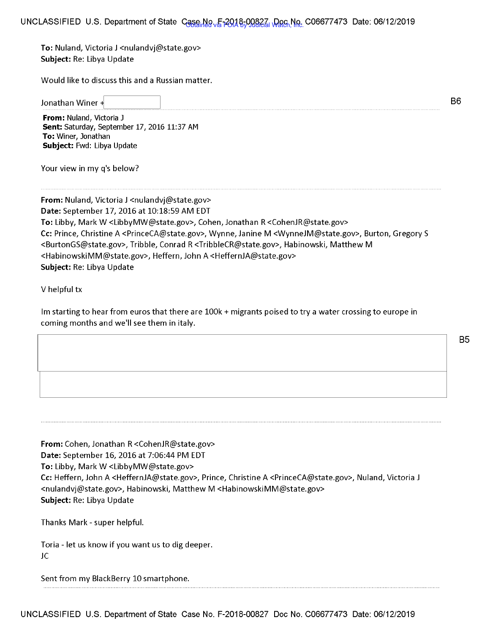To: Nuland, Victoria J <nulandvj@state.gov> **Subject:** Re: Libya Update

Would like to discuss this and a Russian matter.

Jonathan Winer

B6

**From:** Nuland, Victoria J **Sent:** Saturday, September 17, 2016 11:37 AM **To:** Winer, Jonathan **Subject:** Fwd: Libya Update

Your view in my q's below?

From: Nuland, Victoria J <nulandvj@state.gov> **Date:** September 17, 2016 at 10:18:59 AM EDT **To:** Libby, Mark W <LibbyMW@state.gov>, Cohen, Jonathan R <CohenJR@state.gov> **Cc:** Prince, Christine A <PrinceCA@state.gov>, Wynne, Janine M <WynneJM@state.gov>, Burton, Gregory S <BurtonGS@state.gov>, Tribble, Conrad R <TribbleCR@state.gov>, Habinowski, Matthew M <HabinowskiMM@state.gov>, Heffern, John A <HeffernJA@state.gov> **Subject:** Re: Libya Update

V helpful tx

Im starting to hear from euros that there are 100k + migrants poised to try a water crossing to europe in coming months and we'll see them in italy.

B5

**From:** Cohen, Jonathan R <CohenJR@state.gov> **Date:** September 16, 2016 at 7:06:44 PM EDT **To:** Libby, Mark W <LibbyMW@state.gov> **Cc:** Heffern, John A <HeffernJA@state.gov>, Prince, Christine A <PrinceCA@state.gov>, Nu land, Victoria J <nulandvj@state.gov>, Habinowski, Matthew M <HabinowskiMM@state.gov> **Subject:** Re: Libya Update

Thanks Mark - super helpful.

Toria - let us know if you want us to dig deeper. JC

Sent from my BlackBerry 10 smartphone.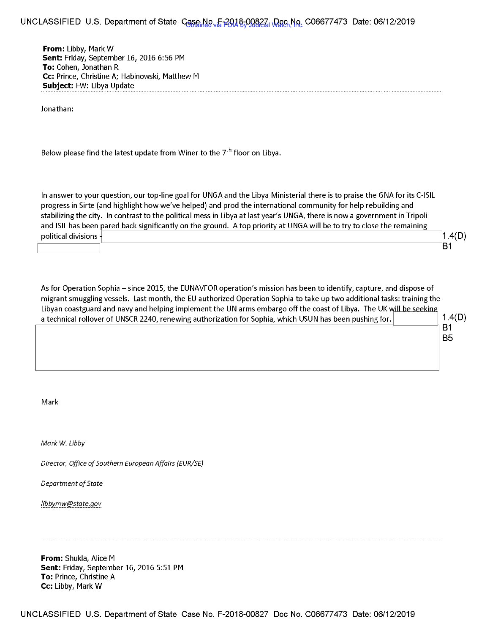## UNCLASSIFIED U.S. Department of State Case No. F-2018-00827, Doc No. C06677473 Date: 06/12/2019

**From:** Libby, Mark W **Sent:** Friday, September 16, 2016 6:56 PM **To:** Cohen, Jonathan R **Cc:** Prince, Christine A; Habinowski, Matthew M **Subject:** FW: Libya Update

Jonathan:

Below please find the latest update from Winer to the  $7<sup>th</sup>$  floor on Libya.

In answer to your question, our top-line goal for UNGA and the Libya Ministerial there is to praise the GNA for its C-ISIL progress in Sirte (and highlight how we've helped) and prod the international community for help rebuilding and stabilizing the city. In contrast to the political mess in Libya at last year's UNGA, there is now a government in Tripoli and ISIL has been pared back significantly on the ground. A top priority at UNGA will be to try to close the remaining  $1.4(D)$ <br>political divisions  $\begin{array}{|l|l|} \hline \end{array}$   $\begin{array}{|l|l|} \hline \end{array}$   $\begin{array}{|l|l|} \hline \end{array}$  B1

As for Operation Sophia - since 2015, the EUNAVFOR operation's mission has been to identify, capture, and dispose of migrant smuggling vessels. Last month, the EU authorized Operation Sophia to take up two additional tasks: training the Libyan coastguard and navy and helping implement the UN arms embargo off the coast of Libya. The UK will be seeking a technical rollover of UNSCR 2240, renewing authorization for Sophia, which USUN has been pushing for. I 1.4(0) ~--------------------------------~----s1

B5

Mark

*Mark W. Libby* 

*Director, Office of Southern European Affairs (EUR/SE)* 

*Department of State* 

*libbymw@state.gov* 

**From:** Shukla, Alice M **Sent:** Friday, September 16, 2016 5:51 PM **To:** Prince, Christine A **Cc:** Libby, Mark W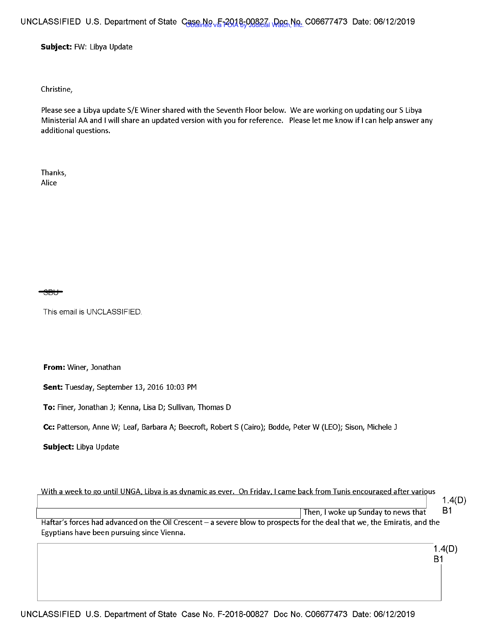## UNCLASSIFIED U.S. Department of State Case No. F-2018-00827, Doc No. C06677473 Date: 06/12/2019

**Subject:** FW: Libya Update

Christine,

Please see a Libya update S/E Winer shared with the Seventh Floor below. We are working on updating our S Libya Ministerial AA and I will share an updated version with you for reference. Please let me know if I can help answer any additional questions.

Thanks, Alice

SH.

This email is UNCLASSIFIED.

**From:** Winer, Jonathan

**Sent:** Tuesday, September 13, 2016 10:03 PM

**To:** Finer, Jonathan J; Kenna, Lisa D; Sullivan, Thomas D

**Cc:** Patterson, Anne W; Leaf, Barbara A; Beecroft, Robert S (Cairo); Bodde, Peter W (LEO); Sison, Michele J

**Subject:** Libya Update

With a week to go until UNGA, Libya is as dynamic as ever. On Friday, I came back from Tunis encouraged after various Then, I woke up Sunday to news that 1.4(0) B1 Haftar's forces had advanced on the Oil Crescent - a severe blow to prospects for the deal that we, the Emiratis, and the Egyptians have been pursuing since Vienna.

> 1.4(0) B1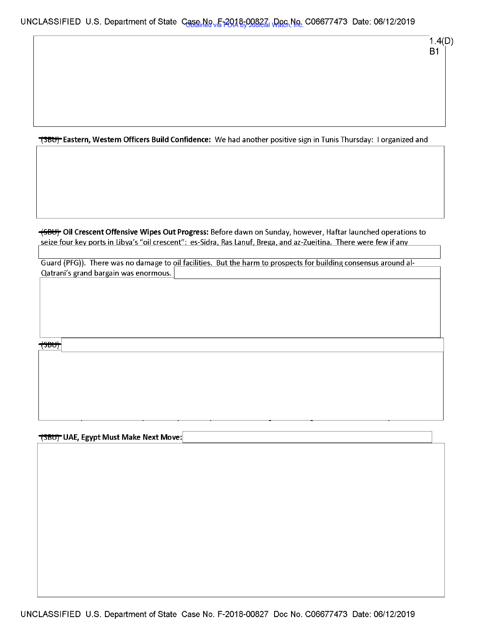I

**(SBU)** Eastern, Western Officers Build Confidence: We had another positive sign in Tunis Thursday: I organized and

~ **Oil Crescent Offensive Wipes Out Progress:** Before dawn on Sunday, however, Haftar launched operations to seize four key ports in Libya's "oil crescent": es-Sidra, Ras Lanuf, Brega, and az-Zueitina. There were few if any

Guard (PFG)). There was no damage to oil facilities. But the harm to prospects for building consensus around al-Qatrani's grand bargain was enormous.

<del>⊣sb∪)</del>

~ **UAE, Egypt Must Make Next Move:I**